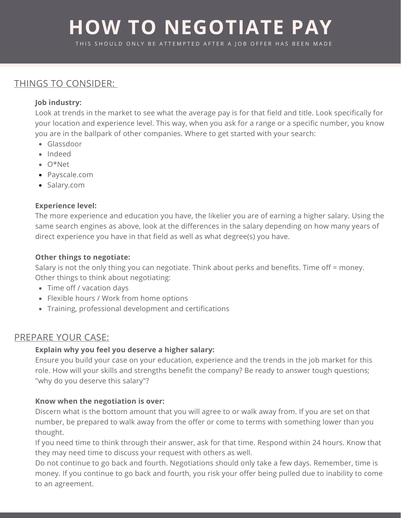# **HOW TO NEGOTIATE PAY**

THIS SHOULD ONLY BE ATTEMPTED AFTER A IOB OFFER HAS BEEN MADE

# THINGS TO CONSIDER:

#### **Job industry:**

Look at trends in the market to see what the average pay is for that field and title. Look specifically for your location and experience level. This way, when you ask for a range or a specific number, you know you are in the ballpark of other companies. Where to get started with your search:

- Glassdoor
- Indeed
- O\*Net
- Payscale.com
- Salary.com

#### **Experience level:**

The more experience and education you have, the likelier you are of earning a higher salary. Using the same search engines as above, look at the differences in the salary depending on how many years of direct experience you have in that field as well as what degree(s) you have.

#### **Other things to negotiate:**

Salary is not the only thing you can negotiate. Think about perks and benefits. Time off = money. Other things to think about negotiating:

- Time off / vacation days
- Flexible hours / Work from home options
- Training, professional development and certifications

### PREPARE YOUR CASE:

#### **Explain why you feel you deserve a higher salary:**

Ensure you build your case on your education, experience and the trends in the job market for this role. How will your skills and strengths benefit the company? Be ready to answer tough questions; "why do you deserve this salary"?

#### **Know when the negotiation is over:**

Discern what is the bottom amount that you will agree to or walk away from. If you are set on that number, be prepared to walk away from the offer or come to terms with something lower than you thought.

If you need time to think through their answer, ask for that time. Respond within 24 hours. Know that they may need time to discuss your request with others as well.

Do not continue to go back and fourth. Negotiations should only take a few days. Remember, time is money. If you continue to go back and fourth, you risk your offer being pulled due to inability to come to an agreement.